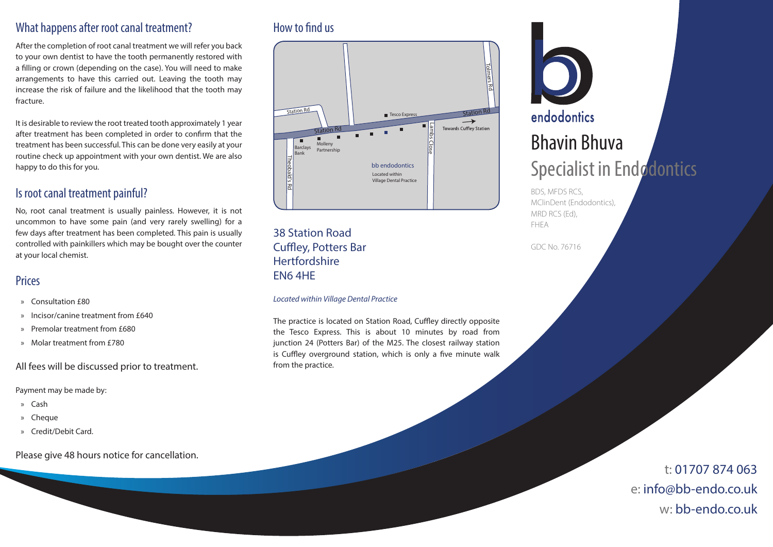## What happens after root canal treatment?

After the completion of root canal treatment we will refer you back to your own dentist to have the tooth permanently restored with a filling or crown (depending on the case). You will need to make arrangements to have this carried out. Leaving the tooth may increase the risk of failure and the likelihood that the tooth may fracture.

It is desirable to review the root treated tooth approximately 1 year after treatment has been completed in order to confirm that the treatment has been successful. This can be done very easily at your routine check up appointment with your own dentist. We are also happy to do this for you.

# Is root canal treatment painful?

No, root canal treatment is usually painless. However, it is not uncommon to have some pain (and very rarely swelling) for a few days after treatment has been completed. This pain is usually controlled with painkillers which may be bought over the counter at your local chemist.

# **Prices**

- » Consultation £80
- » Incisor/canine treatment from £640
- » Premolar treatment from £680
- » Molar treatment from £780

#### All fees will be discussed prior to treatment.

Payment may be made by:

- » Cash
- » Cheque
- » Credit/Debit Card.

Please give 48 hours notice for cancellation.

# How to find us



38 Station Road Cuffley, Potters Bar **Hertfordshire** EN6 4HE

#### *Located within Village Dental Practice*

The practice is located on Station Road, Cuffley directly opposite the Tesco Express. This is about 10 minutes by road from junction 24 (Potters Bar) of the M25. The closest railway station is Cuffley overground station, which is only a five minute walk from the practice.



MClinDent (Endodontics), MRD RCS (Ed), FHEA

GDC No. 76716

t: 01707 874 063 e: info@bb-endo.co.uk w: bb-endo.co.uk